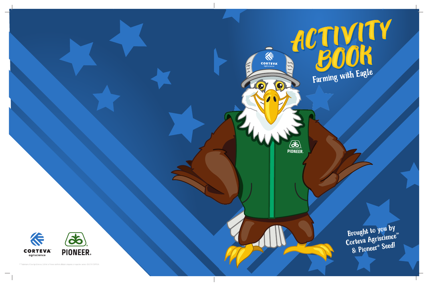

## ACTIVITY<br>BOOK<br>Farming with Eagle

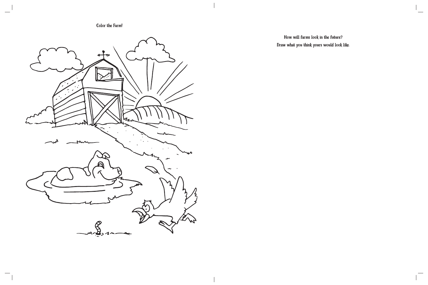Color the Farm!

 $\sim$ 



How will farms look in the future? Draw what you think yours would look like.  $\overline{\phantom{a}}$ 

 $\overline{\phantom{a}}$ 

 $\overline{\phantom{a}}$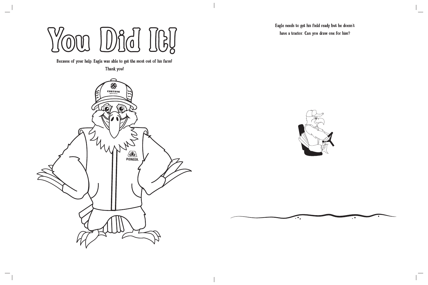**Yo u Did It !**

Because of your help, Eagle was able to get the most out of his farm!

Thank you!





 $\ddotsc$ 

Eagle needs to get his field ready but he doesn't have a tractor. Can you draw one for him?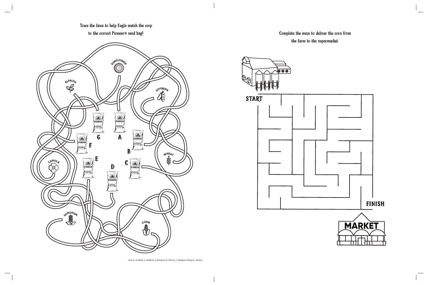

 $\sim$ 





Complete the maze to deliver the corn from the farm to the supermarket.

Answer: A Wheat, B Alfalfa, C Canola, D Sunflower, E Soybean, F Sorghum, G Corn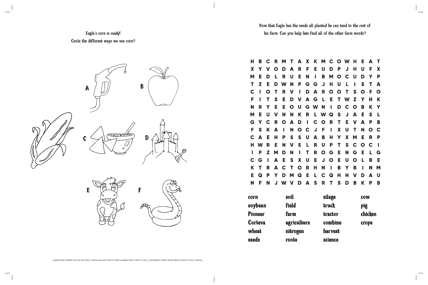

## Eagle's corn is ready! Circle the different ways we use corn?

| н     | В       |              | R | M | Т | A | X     | K       | M           | C           | O           | W | Н            | Е       | А | Τ           |  |
|-------|---------|--------------|---|---|---|---|-------|---------|-------------|-------------|-------------|---|--------------|---------|---|-------------|--|
| X     | Υ       | V            | O | D | A | R | F     | Е       | U           | D           | P           | J | Н            | U       | F | X           |  |
| M     | Ε       | D            | L | R | U | Е | N     | I       | B           | M           | O           | C | U            | D       | Υ | P           |  |
| Т     | Z       | Е            | D | W | N | P | G     | G       | J           | Н           | U           | L | Γ            | S       | Т | A           |  |
| C     |         | O            | Т | R | V | I | D     | A       | R           | $\mathbf O$ | $\mathbf O$ | Т | S            | O       | F | $\mathbf O$ |  |
| F     |         | Τ            | S | Ε | D | V | A     | G       | L           | Е           | Т           | W | Z            | Υ       | Н | Κ           |  |
| N     | R       | Υ            | Е | Е | O | U | G     | W       | N           | I           | D           | C | $\mathbf O$  | B       | Κ | Y           |  |
| M     | Е       | U            | V | N | N | K | R     | L       | W           | Q           | S           | J | A            | Е       | S | L           |  |
| G     | Υ       |              | R | O | А | D | I     | C       | O           | R           | Τ           | Е | V            | А       | Ρ | B           |  |
| F     | S       | K            | A | ι | N | O | C     | J       | F           | ı           | X           | U | Τ            | N       | O | C           |  |
| C     | A       | Е            | Н | P | S | S | U     | А       | B           | Н           | Υ           | X | M            | Е       | R | P           |  |
| Н     | W       | R            | Е | N | V | Е | L     | R       | U           | P           | Т           | S | C            | O       | C | ı           |  |
| I     | P       | Z            | M | D | N | I | Τ     | R       | $\mathbf O$ | G           | Е           | N | G            | Е       | L | G           |  |
| C     | G       | ı            | A | Е | S | X | U     | Е       | J           | $\mathbf O$ | Е           | U | $\mathbf O$  | L       | B | Е           |  |
| K     | Τ       | R            | A | C | Т | O | R     | Н       | N           | ı           | B           | Υ | B            | ı       | N | M           |  |
| Е     | Q       | P            | Υ | D | M | Q | Е     | L       | C           | Q           | Н           | н | V            | D       | А | U           |  |
| N     | F       | N            | J | W | V | D | A     | S       | R           | Τ           | S           | D | B            | Κ       | P | B           |  |
| corn  |         | soil         |   |   |   |   |       | silage  |             |             |             |   | <b>COW</b>   |         |   |             |  |
|       | soybean | <b>field</b> |   |   |   |   | truck |         |             |             |             |   | <b>pig</b>   |         |   |             |  |
|       | Pioneer | farm         |   |   |   |   |       | tractor |             |             |             |   |              | chicken |   |             |  |
|       | Corteva | agriculture  |   |   |   |   |       | combine |             |             |             |   | <b>crops</b> |         |   |             |  |
| wheat |         | nitrogen     |   |   |   |   |       | harvest |             |             |             |   |              |         |   |             |  |
| seeds |         | roots        |   |   |   |   |       | science |             |             |             |   |              |         |   |             |  |
|       |         |              |   |   |   |   |       |         |             |             |             |   |              |         |   |             |  |

Answer types of chips and other for the corp and the corn is read in many different types of chips and other foods. E Cows eat the corn silage to stay healthy.

Now that Eagle has the seeds all planted he can tend to the rest of his farm. Can you help him find all of the other farm words?